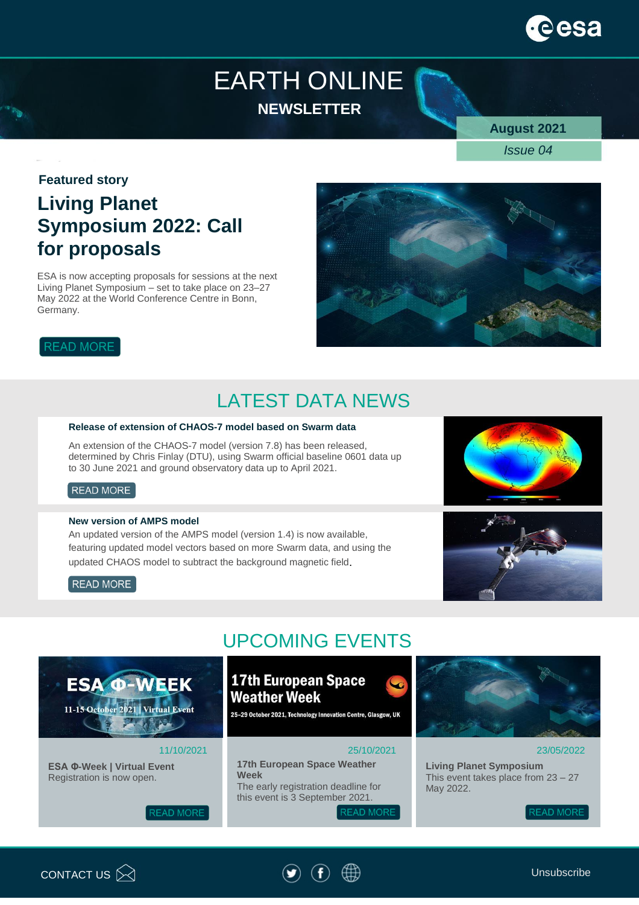

## EARTH ONLINE **NEWSLETTER**

**August 2021**

*Issue 04*

#### **Featured story**

## **Living Planet Symposium 2022: Call for proposals**

ESA is now accepting proposals for sessions at the next Living Planet Symposium – set to take place on 23–27 May 2022 at the World Conference Centre in Bonn, Germany.



### **READ MORE**

## LATEST DATA NEWS

#### **Release of extension of CHAOS-7 model based on Swarm data**

An extension of the CHAOS-7 model (version 7.8) has been released, determined by Chris Finlay (DTU), using Swarm official baseline 0601 data up to 30 June 2021 and ground observatory data up to April 2021.

#### READ MORE

#### **New version of AMPS model**

An updated version of the AMPS model (version 1.4) is now available, featuring updated model vectors based on more Swarm data, and using the updated CHAOS model to subtract the background magnetic field.



#### READ MORE



### **17th European Space Weather Week**

25-29 October 2021, Technology Innovation Centre, Glasgow, UK

#### 25/10/2021

**17th European Space Weather Week**  The early registration deadline for this event is 3 September 2021. **READ MORE** 



#### 23/05/2022

**Living Planet Symposium** This event takes place from 23 – 27 May 2022.

**READ MORE** 



11/10/2021



**ESA Φ-Week | Virtual Event** Registration is now open.

**ESA @-WEEK** 

11-15 October 2021 | Virtual Event